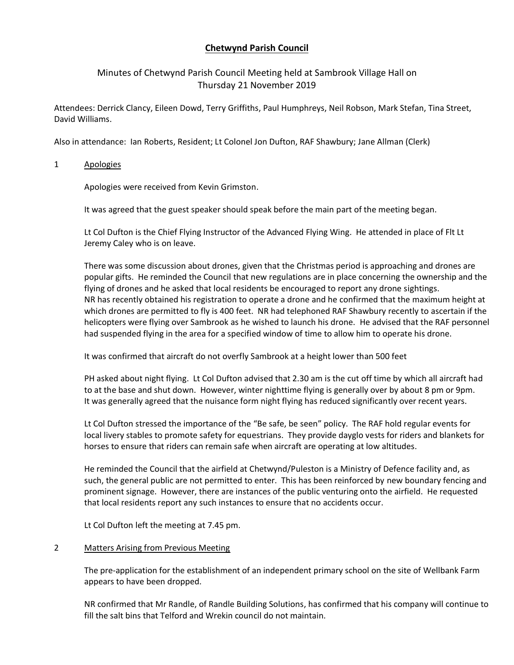# **Chetwynd Parish Council**

## Minutes of Chetwynd Parish Council Meeting held at Sambrook Village Hall on Thursday 21 November 2019

Attendees: Derrick Clancy, Eileen Dowd, Terry Griffiths, Paul Humphreys, Neil Robson, Mark Stefan, Tina Street, David Williams.

Also in attendance: Ian Roberts, Resident; Lt Colonel Jon Dufton, RAF Shawbury; Jane Allman (Clerk)

1 Apologies

Apologies were received from Kevin Grimston.

It was agreed that the guest speaker should speak before the main part of the meeting began.

Lt Col Dufton is the Chief Flying Instructor of the Advanced Flying Wing. He attended in place of Flt Lt Jeremy Caley who is on leave.

There was some discussion about drones, given that the Christmas period is approaching and drones are popular gifts. He reminded the Council that new regulations are in place concerning the ownership and the flying of drones and he asked that local residents be encouraged to report any drone sightings. NR has recently obtained his registration to operate a drone and he confirmed that the maximum height at which drones are permitted to fly is 400 feet. NR had telephoned RAF Shawbury recently to ascertain if the helicopters were flying over Sambrook as he wished to launch his drone. He advised that the RAF personnel had suspended flying in the area for a specified window of time to allow him to operate his drone.

It was confirmed that aircraft do not overfly Sambrook at a height lower than 500 feet

PH asked about night flying. Lt Col Dufton advised that 2.30 am is the cut off time by which all aircraft had to at the base and shut down. However, winter nighttime flying is generally over by about 8 pm or 9pm. It was generally agreed that the nuisance form night flying has reduced significantly over recent years.

Lt Col Dufton stressed the importance of the "Be safe, be seen" policy. The RAF hold regular events for local livery stables to promote safety for equestrians. They provide dayglo vests for riders and blankets for horses to ensure that riders can remain safe when aircraft are operating at low altitudes.

He reminded the Council that the airfield at Chetwynd/Puleston is a Ministry of Defence facility and, as such, the general public are not permitted to enter. This has been reinforced by new boundary fencing and prominent signage. However, there are instances of the public venturing onto the airfield. He requested that local residents report any such instances to ensure that no accidents occur.

Lt Col Dufton left the meeting at 7.45 pm.

### 2 Matters Arising from Previous Meeting

The pre-application for the establishment of an independent primary school on the site of Wellbank Farm appears to have been dropped.

NR confirmed that Mr Randle, of Randle Building Solutions, has confirmed that his company will continue to fill the salt bins that Telford and Wrekin council do not maintain.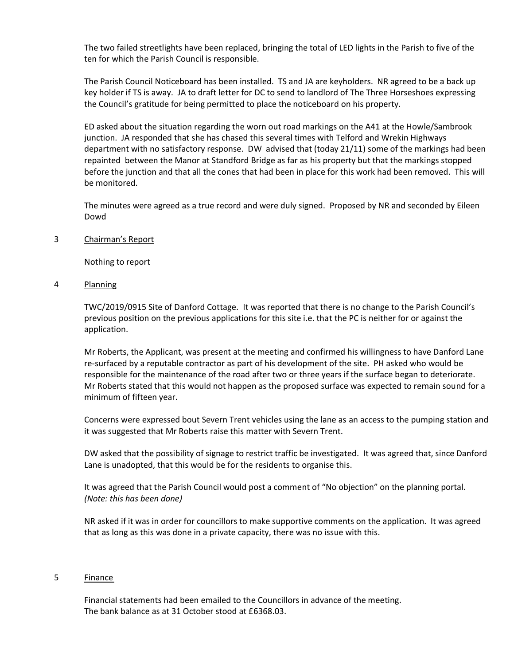The two failed streetlights have been replaced, bringing the total of LED lights in the Parish to five of the ten for which the Parish Council is responsible.

The Parish Council Noticeboard has been installed. TS and JA are keyholders. NR agreed to be a back up key holder if TS is away. JA to draft letter for DC to send to landlord of The Three Horseshoes expressing the Council's gratitude for being permitted to place the noticeboard on his property.

ED asked about the situation regarding the worn out road markings on the A41 at the Howle/Sambrook junction. JA responded that she has chased this several times with Telford and Wrekin Highways department with no satisfactory response. DW advised that (today 21/11) some of the markings had been repainted between the Manor at Standford Bridge as far as his property but that the markings stopped before the junction and that all the cones that had been in place for this work had been removed. This will be monitored.

The minutes were agreed as a true record and were duly signed. Proposed by NR and seconded by Eileen Dowd

3 Chairman's Report

Nothing to report

4 Planning

TWC/2019/0915 Site of Danford Cottage. It was reported that there is no change to the Parish Council's previous position on the previous applications for this site i.e. that the PC is neither for or against the application.

Mr Roberts, the Applicant, was present at the meeting and confirmed his willingness to have Danford Lane re-surfaced by a reputable contractor as part of his development of the site. PH asked who would be responsible for the maintenance of the road after two or three years if the surface began to deteriorate. Mr Roberts stated that this would not happen as the proposed surface was expected to remain sound for a minimum of fifteen year.

Concerns were expressed bout Severn Trent vehicles using the lane as an access to the pumping station and it was suggested that Mr Roberts raise this matter with Severn Trent.

DW asked that the possibility of signage to restrict traffic be investigated. It was agreed that, since Danford Lane is unadopted, that this would be for the residents to organise this.

It was agreed that the Parish Council would post a comment of "No objection" on the planning portal. *(Note: this has been done)*

NR asked if it was in order for councillors to make supportive comments on the application. It was agreed that as long as this was done in a private capacity, there was no issue with this.

### 5 Finance

Financial statements had been emailed to the Councillors in advance of the meeting. The bank balance as at 31 October stood at £6368.03.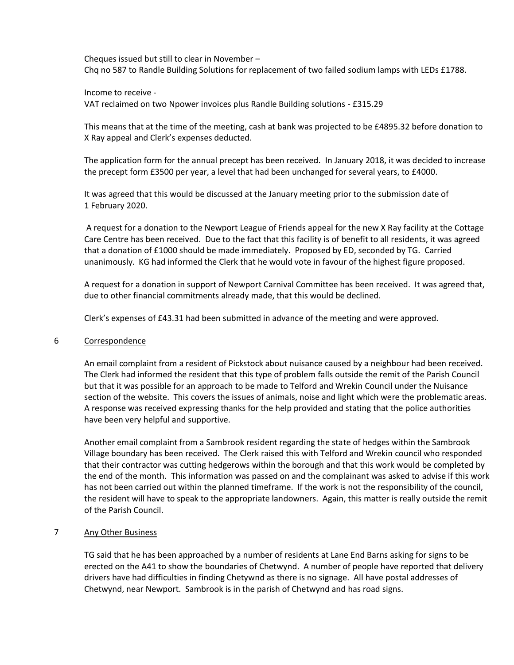Cheques issued but still to clear in November – Chq no 587 to Randle Building Solutions for replacement of two failed sodium lamps with LEDs £1788.

Income to receive -

VAT reclaimed on two Npower invoices plus Randle Building solutions - £315.29

This means that at the time of the meeting, cash at bank was projected to be £4895.32 before donation to X Ray appeal and Clerk's expenses deducted.

The application form for the annual precept has been received. In January 2018, it was decided to increase the precept form £3500 per year, a level that had been unchanged for several years, to £4000.

It was agreed that this would be discussed at the January meeting prior to the submission date of 1 February 2020.

A request for a donation to the Newport League of Friends appeal for the new X Ray facility at the Cottage Care Centre has been received. Due to the fact that this facility is of benefit to all residents, it was agreed that a donation of £1000 should be made immediately. Proposed by ED, seconded by TG. Carried unanimously. KG had informed the Clerk that he would vote in favour of the highest figure proposed.

A request for a donation in support of Newport Carnival Committee has been received. It was agreed that, due to other financial commitments already made, that this would be declined.

Clerk's expenses of £43.31 had been submitted in advance of the meeting and were approved.

### 6 Correspondence

An email complaint from a resident of Pickstock about nuisance caused by a neighbour had been received. The Clerk had informed the resident that this type of problem falls outside the remit of the Parish Council but that it was possible for an approach to be made to Telford and Wrekin Council under the Nuisance section of the website. This covers the issues of animals, noise and light which were the problematic areas. A response was received expressing thanks for the help provided and stating that the police authorities have been very helpful and supportive.

Another email complaint from a Sambrook resident regarding the state of hedges within the Sambrook Village boundary has been received. The Clerk raised this with Telford and Wrekin council who responded that their contractor was cutting hedgerows within the borough and that this work would be completed by the end of the month. This information was passed on and the complainant was asked to advise if this work has not been carried out within the planned timeframe. If the work is not the responsibility of the council, the resident will have to speak to the appropriate landowners. Again, this matter is really outside the remit of the Parish Council.

### 7 Any Other Business

TG said that he has been approached by a number of residents at Lane End Barns asking for signs to be erected on the A41 to show the boundaries of Chetwynd. A number of people have reported that delivery drivers have had difficulties in finding Chetywnd as there is no signage. All have postal addresses of Chetwynd, near Newport. Sambrook is in the parish of Chetwynd and has road signs.